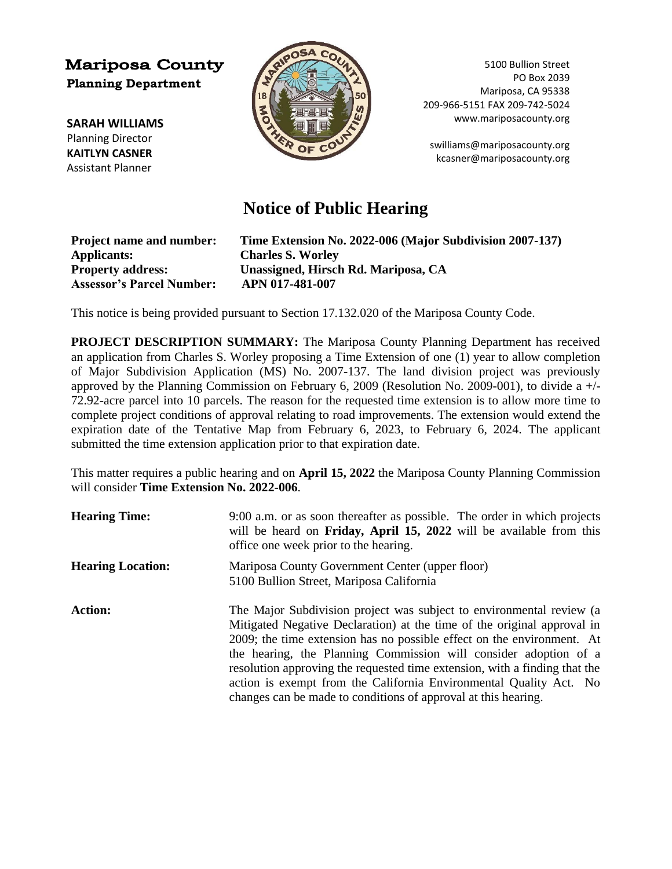## **Mariposa County Planning Department**

**SARAH WILLIAMS** Planning Director **KAITLYN CASNER** Assistant Planner



5100 Bullion Street PO Box 2039 Mariposa, CA 95338 209-966-5151 FAX 209-742-5024 www.mariposacounty.org

[swilliams@mariposacounty.org](mailto:swilliams@mariposacounty.org) kcasner@mariposacounty.org

## **Notice of Public Hearing**

| <b>Project name and number:</b>  | Time Extension No. 2022-006 (Major Subdivision 2007-137) |
|----------------------------------|----------------------------------------------------------|
| <b>Applicants:</b>               | <b>Charles S. Worley</b>                                 |
| <b>Property address:</b>         | Unassigned, Hirsch Rd. Mariposa, CA                      |
| <b>Assessor's Parcel Number:</b> | APN 017-481-007                                          |

This notice is being provided pursuant to Section 17.132.020 of the Mariposa County Code.

**PROJECT DESCRIPTION SUMMARY:** The Mariposa County Planning Department has received an application from Charles S. Worley proposing a Time Extension of one (1) year to allow completion of Major Subdivision Application (MS) No. 2007-137. The land division project was previously approved by the Planning Commission on February 6, 2009 (Resolution No. 2009-001), to divide a +/- 72.92-acre parcel into 10 parcels. The reason for the requested time extension is to allow more time to complete project conditions of approval relating to road improvements. The extension would extend the expiration date of the Tentative Map from February 6, 2023, to February 6, 2024. The applicant submitted the time extension application prior to that expiration date.

This matter requires a public hearing and on **April 15, 2022** the Mariposa County Planning Commission will consider **Time Extension No. 2022-006**.

| <b>Hearing Time:</b>     | 9:00 a.m. or as soon thereafter as possible. The order in which projects<br>will be heard on <b>Friday</b> , April 15, 2022 will be available from this<br>office one week prior to the hearing.                                                                                                                                                                                                                                                                                                                    |
|--------------------------|---------------------------------------------------------------------------------------------------------------------------------------------------------------------------------------------------------------------------------------------------------------------------------------------------------------------------------------------------------------------------------------------------------------------------------------------------------------------------------------------------------------------|
| <b>Hearing Location:</b> | Mariposa County Government Center (upper floor)<br>5100 Bullion Street, Mariposa California                                                                                                                                                                                                                                                                                                                                                                                                                         |
| <b>Action:</b>           | The Major Subdivision project was subject to environmental review (a<br>Mitigated Negative Declaration) at the time of the original approval in<br>2009; the time extension has no possible effect on the environment. At<br>the hearing, the Planning Commission will consider adoption of a<br>resolution approving the requested time extension, with a finding that the<br>action is exempt from the California Environmental Quality Act. No<br>changes can be made to conditions of approval at this hearing. |